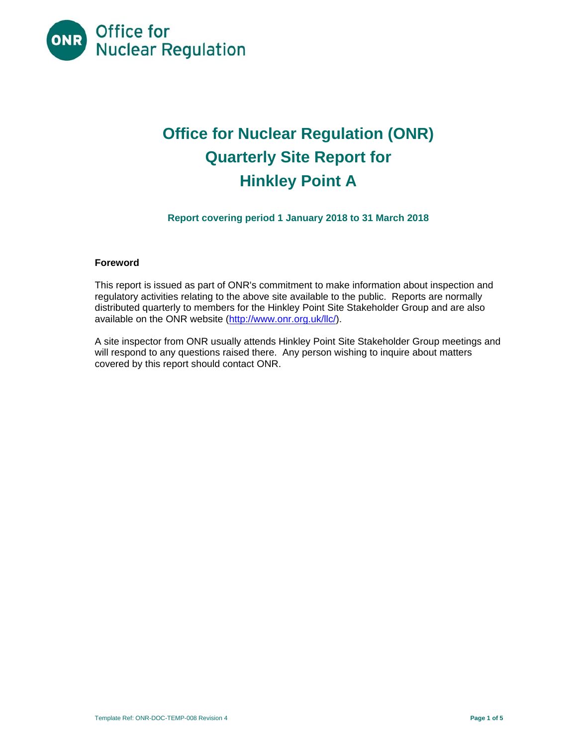

# **Office for Nuclear Regulation (ONR) Quarterly Site Report for Hinkley Point A**

**Report covering period 1 January 2018 to 31 March 2018** 

# **Foreword**

This report is issued as part of ONR's commitment to make information about inspection and regulatory activities relating to the above site available to the public. Reports are normally distributed quarterly to members for the Hinkley Point Site Stakeholder Group and are also available on the ONR website (http://www.onr.org.uk/llc/).

A site inspector from ONR usually attends Hinkley Point Site Stakeholder Group meetings and will respond to any questions raised there. Any person wishing to inquire about matters covered by this report should contact ONR.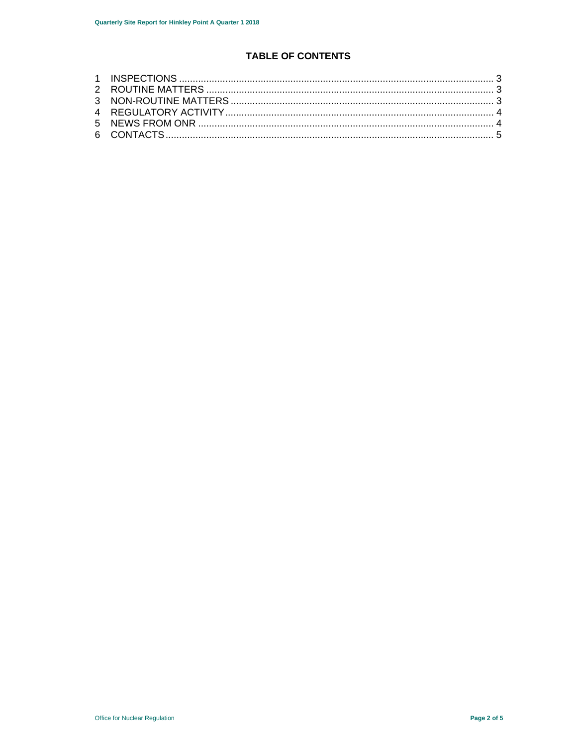# **TABLE OF CONTENTS**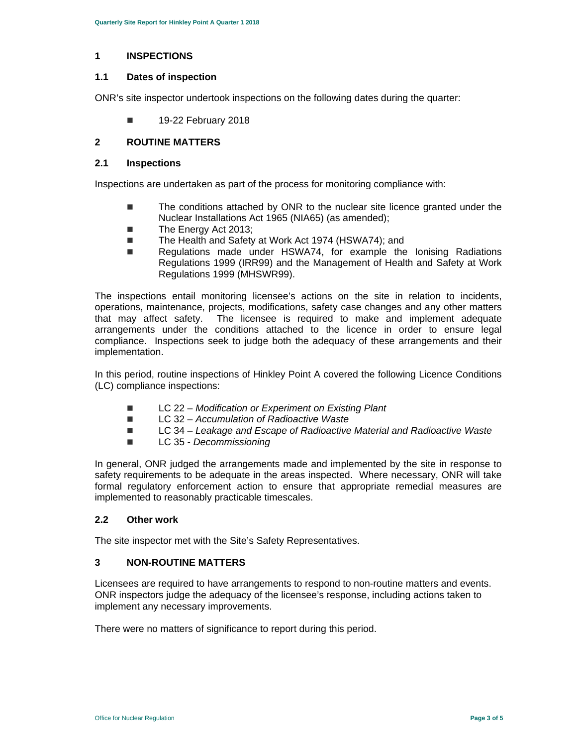#### **1 INSPECTIONS**

#### **1.1 Dates of inspection**

ONR's site inspector undertook inspections on the following dates during the quarter:

**19-22 February 2018** 

## **2 ROUTINE MATTERS**

#### **2.1 Inspections**

Inspections are undertaken as part of the process for monitoring compliance with:

- The conditions attached by ONR to the nuclear site licence granted under the Nuclear Installations Act 1965 (NIA65) (as amended);
- The Energy Act 2013;
- The Health and Safety at Work Act 1974 (HSWA74); and
- Regulations made under HSWA74, for example the Ionising Radiations Regulations 1999 (IRR99) and the Management of Health and Safety at Work Regulations 1999 (MHSWR99).

The inspections entail monitoring licensee's actions on the site in relation to incidents, operations, maintenance, projects, modifications, safety case changes and any other matters that may affect safety. The licensee is required to make and implement adequate arrangements under the conditions attached to the licence in order to ensure legal compliance. Inspections seek to judge both the adequacy of these arrangements and their implementation.

In this period, routine inspections of Hinkley Point A covered the following Licence Conditions (LC) compliance inspections:

- LC 22 *Modification or Experiment on Existing Plant*
- LC 32 Accumulation of Radioactive Waste
- LC 34 Leakage and Escape of Radioactive Material and Radioactive Waste
- LC 35 *Decommissioning*

In general, ONR judged the arrangements made and implemented by the site in response to safety requirements to be adequate in the areas inspected. Where necessary, ONR will take formal regulatory enforcement action to ensure that appropriate remedial measures are implemented to reasonably practicable timescales.

#### **2.2 Other work**

The site inspector met with the Site's Safety Representatives.

## **3 NON-ROUTINE MATTERS**

Licensees are required to have arrangements to respond to non-routine matters and events. ONR inspectors judge the adequacy of the licensee's response, including actions taken to implement any necessary improvements.

There were no matters of significance to report during this period.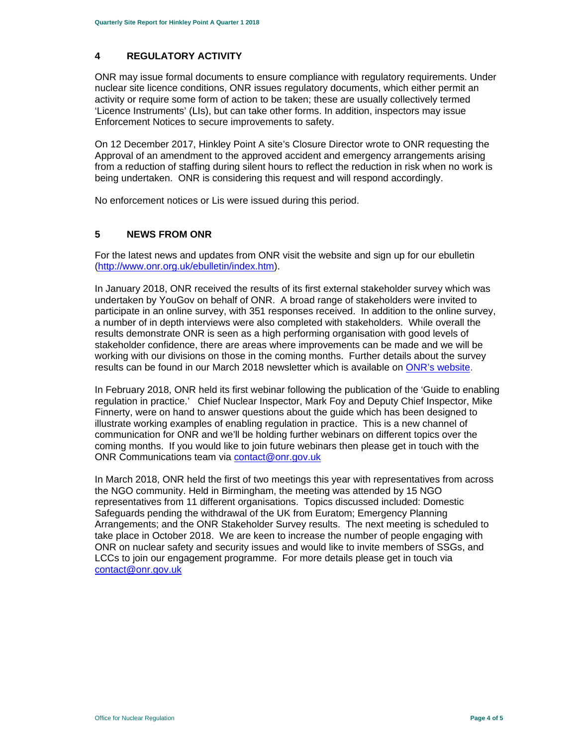# **4 REGULATORY ACTIVITY**

ONR may issue formal documents to ensure compliance with regulatory requirements. Under nuclear site licence conditions, ONR issues regulatory documents, which either permit an activity or require some form of action to be taken; these are usually collectively termed 'Licence Instruments' (LIs), but can take other forms. In addition, inspectors may issue Enforcement Notices to secure improvements to safety.

On 12 December 2017, Hinkley Point A site's Closure Director wrote to ONR requesting the Approval of an amendment to the approved accident and emergency arrangements arising from a reduction of staffing during silent hours to reflect the reduction in risk when no work is being undertaken. ONR is considering this request and will respond accordingly.

No enforcement notices or Lis were issued during this period.

## **5 NEWS FROM ONR**

For the latest news and updates from ONR visit the website and sign up for our ebulletin (http://www.onr.org.uk/ebulletin/index.htm).

In January 2018, ONR received the results of its first external stakeholder survey which was undertaken by YouGov on behalf of ONR. A broad range of stakeholders were invited to participate in an online survey, with 351 responses received. In addition to the online survey, a number of in depth interviews were also completed with stakeholders. While overall the results demonstrate ONR is seen as a high performing organisation with good levels of stakeholder confidence, there are areas where improvements can be made and we will be working with our divisions on those in the coming months. Further details about the survey results can be found in our March 2018 newsletter which is available on ONR's website.

In February 2018, ONR held its first webinar following the publication of the 'Guide to enabling regulation in practice.' Chief Nuclear Inspector, Mark Foy and Deputy Chief Inspector, Mike Finnerty, were on hand to answer questions about the guide which has been designed to illustrate working examples of enabling regulation in practice. This is a new channel of communication for ONR and we'll be holding further webinars on different topics over the coming months. If you would like to join future webinars then please get in touch with the ONR Communications team via contact@onr.gov.uk

In March 2018, ONR held the first of two meetings this year with representatives from across the NGO community. Held in Birmingham, the meeting was attended by 15 NGO representatives from 11 different organisations. Topics discussed included: Domestic Safeguards pending the withdrawal of the UK from Euratom; Emergency Planning Arrangements; and the ONR Stakeholder Survey results. The next meeting is scheduled to take place in October 2018. We are keen to increase the number of people engaging with ONR on nuclear safety and security issues and would like to invite members of SSGs, and LCCs to join our engagement programme. For more details please get in touch via contact@onr.gov.uk